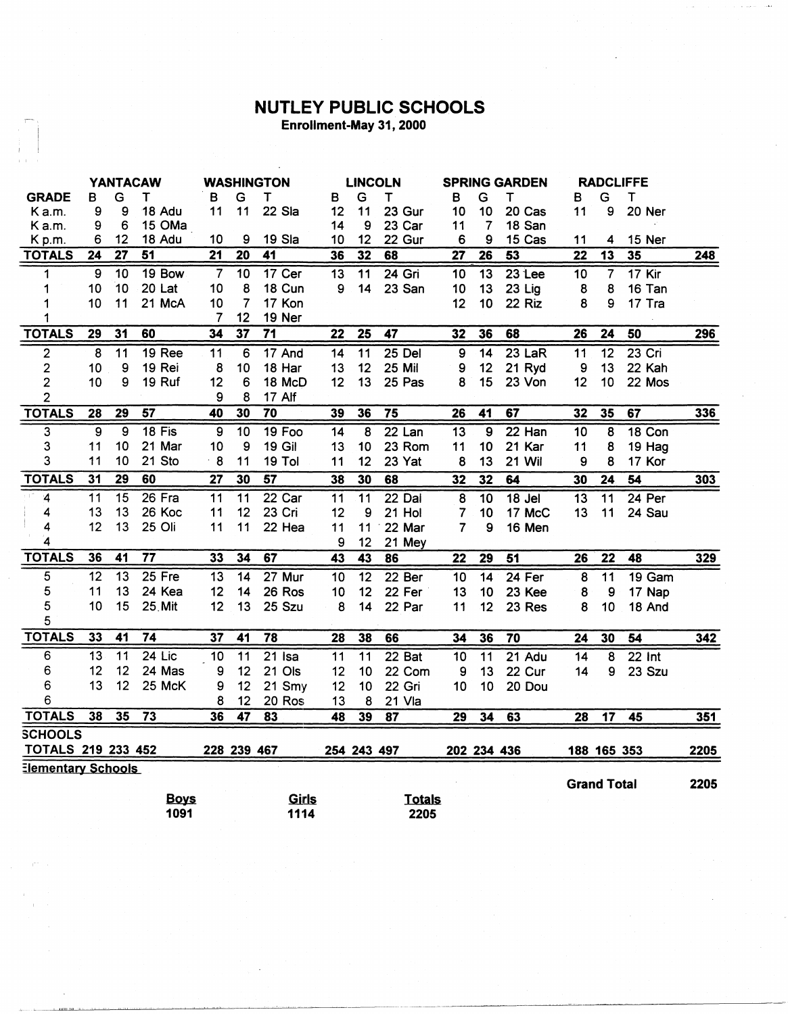## NUTLEY PUBLIC SCHOOLS Enrollment-May 31, 2000

| <b>YANTACAW</b>           |                           | <b>WASHINGTON</b> |                 |                 |                 |                          | <b>LINCOLN</b>  | <b>SPRING GARDEN</b> |                   |                 | <b>RADCLIFFE</b> |                 |                    |                          |                     |            |
|---------------------------|---------------------------|-------------------|-----------------|-----------------|-----------------|--------------------------|-----------------|----------------------|-------------------|-----------------|------------------|-----------------|--------------------|--------------------------|---------------------|------------|
| <b>GRADE</b>              | в                         | G                 | т               | в               | G               | $\mathsf T$              | в               | G                    | $\mathsf T$       | B               | G                | Т               | в                  | G                        | $\mathsf T$         |            |
| K a.m.                    | 9                         | 9                 | 18 Adu          | 11              | 11              | 22 Sla                   | 12              | 11                   | 23 Gur            | 10              | 10               | 20 Cas          | 11                 | 9                        | 20 Ner              |            |
| K a.m.                    | 9                         | 6                 | 15 OMa          |                 |                 |                          | 14              | 9                    | 23 Car            | 11              | $\overline{7}$   | 18 San          |                    |                          |                     |            |
| K p.m.                    | 6                         | 12                | 18 Adu          | 10              | 9               | 19 Sla                   | 10              | 12                   | 22 Gur            | 6               | 9                | 15 Cas          | 11                 | 4                        | 15 Ner              |            |
| <b>TOTALS</b>             | 24                        | 27                | 51              | $\overline{21}$ | $\overline{20}$ | 41                       | 36              | 32                   | 68                | 27              | 26               | 53              | $\overline{22}$    | 13                       | 35                  | 248        |
| 1                         | 9                         | 10                | 19 Bow          | $\overline{7}$  | 10              | 17 Cer                   | 13              | 11                   | 24 Gri            | 10              | 13               | 23 Lee          | 10                 | $\overline{\mathcal{L}}$ | $17$ Kir            |            |
| 1                         | 10                        | 10                | 20 Lat          | 10              | 8               | 18 Cun                   | 9               | 14                   | 23 San            | 10              | 13               | 23 Lig          | 8                  | 8                        | 16 Tan              |            |
| 1                         | 10                        | 11                | 21 McA          | 10              | $\overline{7}$  | 17 Kon                   |                 |                      |                   | 12              | 10               | 22 Riz          | 8                  | 9                        | 17 Tra              |            |
|                           |                           |                   |                 | 7               | 12              | 19 Ner                   |                 |                      |                   |                 |                  |                 |                    |                          |                     |            |
| <b>TOTALS</b>             | 29                        | 31                | 60              | 34              | 37              | 71                       | 22              | 25                   | 47                | 32              | 36               | 68              | 26                 | 24                       | 50                  | 296        |
| $\overline{2}$            | $\overline{8}$            | 11                | <b>19 Ree</b>   | $\overline{11}$ | 6               | 17 And                   | 14              | $\overline{11}$      | $25$ Del          | 9               | $\overline{14}$  | $23$ LaR        | 11                 | 12                       | $23$ Cri            |            |
| 2                         | 10                        | 9                 | 19 Rei          | 8               | 10              | 18 Har                   | 13              | 12                   | 25 Mil            | 9               | 12               | 21 Ryd          | 9                  | 13                       | 22 Kah              |            |
| $\overline{\mathbf{c}}$   | 10                        | 9                 | 19 Ruf          | 12              | 6               | 18 McD                   | 12              | 13                   | 25 Pas            | 8               | 15               | 23 Von          | 12                 | 10                       | 22 Mos              |            |
| $\overline{c}$            |                           |                   |                 | 9               | 8               | 17 Alf                   |                 |                      |                   |                 |                  |                 |                    |                          |                     |            |
| <b>TOTALS</b>             | 28                        | 29                | $\overline{57}$ | 40              | 30              | 70                       | 39              | 36                   | $\overline{75}$   | 26              | 41               | 67              | 32                 | 35                       | 67                  | $336$      |
| $\overline{3}$            | $\overline{9}$            | $\overline{9}$    | $18$ Fis        | $\overline{9}$  | $\overline{10}$ | <b>19 Foo</b>            | $\overline{14}$ | $\overline{8}$       | $22$ Lan          | $\overline{13}$ | $\overline{9}$   | $22$ Han        | $\overline{10}$    | $\overline{8}$           | 18 Con              |            |
| 3                         | 11                        | 10                | 21 Mar          | 10              | 9               | <b>19 Gil</b>            | 13              | 10                   | 23 Rom            | 11              | 10               | 21 Kar          | 11                 | 8                        | 19 Hag              |            |
| 3                         | 11                        | 10                | 21 Sto          | $\cdot$ 8       | 11              | 19 Tol                   | 11              | 12                   | 23 Yat            | 8               | 13               | 21 Wil          | 9                  | 8                        | 17 Kor              |            |
| <b>TOTALS</b>             | 31                        | 29                | 60              | 27              | 30              | 57                       | 38              | 30                   | 68                | 32              | 32               | 64              | 30                 | 24                       | 54                  | <u>303</u> |
| $\boldsymbol{4}$          | 11                        | 15                | $26$ Fra        | 11              | 11              | 22 Car                   | 11              | 11                   | $22$ Dal          | 8               | 10               | $18$ Jel        | 13                 | 11                       | 24 Per              |            |
| 4                         | 13                        | 13                | 26 Koc          | 11              | 12              | 23 Cri                   | 12              | 9                    | 21 Hol            | 7               | 10               | 17 McC          | 13                 | 11                       | 24 Sau              |            |
| 4                         | 12                        | 13                | 25 Oli          | 11              | 11              | 22 Hea                   | 11              | 11                   | 22 Mar            | $\overline{7}$  | 9                | 16 Men          |                    |                          |                     |            |
| $\overline{\mathbf{4}}$   |                           |                   |                 |                 |                 |                          | 9               | 12                   | 21 Mey            |                 |                  |                 |                    |                          |                     |            |
| <b>TOTALS</b>             | 36                        | 41                | $\overline{77}$ | 33              | 34              | 67                       | 43              | 43                   | 86                | 22              | 29               | 51              | 26                 | $\overline{22}$          | 48                  | 329        |
| 5                         | 12                        | $\overline{13}$   | $25$ Fre        | $\overline{13}$ | 14              | 27 Mur                   | 10              | 12                   | 22 <sub>ber</sub> | 10              | 14               | 24 Fer          | 8                  | 11                       | 19 Gam              |            |
| 5                         | 11                        | 13                | 24 Kea          | 12              | 14              | 26 Ros                   | 10              | 12                   | 22 Fer            | 13              | 10               | 23 Kee          | 8                  | 9                        | 17 Nap              |            |
| 5                         | 10                        | 15                | 25 Mit          | 12              | 13              | 25 Szu                   | 8               | 14                   | 22 Par            | 11              | 12               | 23 Res          | 8                  | 10                       | 18 And              |            |
| 5                         |                           |                   |                 |                 |                 |                          |                 |                      |                   |                 |                  |                 |                    |                          |                     |            |
| <b>TOTALS</b>             | 33                        | 41                | 74              | 37              | 41              | 78                       | 28              | 38                   | 66                | 34              | 36               | $\overline{70}$ | 24                 | 30                       | 54                  | 342        |
| 6                         | 13                        | $\overline{11}$   | $24$ Lic        | 10              | 11              | $21$ Isa                 | 11              | $\overline{11}$      | 22 Bat            | 10              | 11               | $21$ Adu        | 14                 | 8                        | $\overline{22}$ Int |            |
| 6                         | 12                        | 12                | 24 Mas          | 9               | 12              | 21 Ols                   | 12              | 10                   | 22 Com            | 9               | 13               | 22 Cur          | 14                 | 9                        | 23 Szu              |            |
| 6                         | 13                        | 12                | 25 McK          | 9               | 12              | 21 Smy                   | 12              | 10                   | 22 Gri            | 10              | 10               | 20 Dou          |                    |                          |                     |            |
| 6                         |                           |                   |                 | 8               | 12              | 20 Ros                   | 13              | 8                    | 21 Vla            |                 |                  |                 |                    |                          |                     |            |
| <b>TOTALS</b>             | 38                        | 35                | $\overline{73}$ | 36              | $\overline{47}$ | $\overline{\mathbf{83}}$ | 48              | 39                   | 87                | 29              | $\overline{34}$  | 63              | 28                 | 17                       | 45                  | 351        |
| <b>SCHOOLS</b>            |                           |                   |                 |                 |                 |                          |                 |                      |                   |                 |                  |                 |                    |                          |                     |            |
| <b>TOTALS 219 233 452</b> |                           |                   |                 | 228 239 467     |                 |                          |                 | 254 243 497          |                   |                 | 202 234 436      |                 |                    | 188 165 353              |                     | 2205       |
|                           | <b>Elementary Schools</b> |                   |                 |                 |                 |                          |                 |                      |                   |                 |                  |                 |                    |                          |                     |            |
|                           |                           |                   |                 |                 |                 |                          |                 |                      |                   |                 |                  |                 | <b>Grand Total</b> |                          |                     | 2205       |
|                           |                           |                   | <b>Boys</b>     |                 |                 | Girls                    |                 |                      | <b>Totals</b>     |                 |                  |                 |                    |                          |                     |            |
|                           |                           |                   | 1091            |                 |                 | 1114                     |                 |                      | 2205              |                 |                  |                 |                    |                          |                     |            |